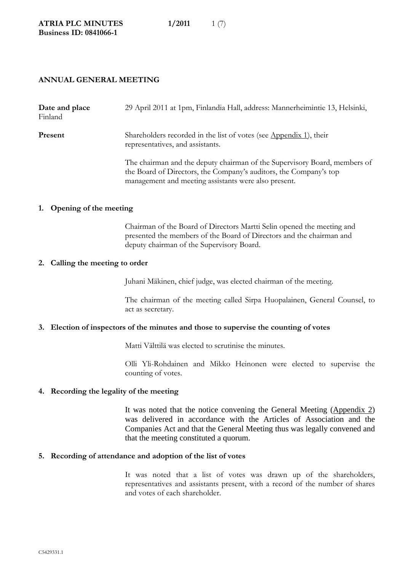# **ANNUAL GENERAL MEETING**

| Date and place<br>Finland | 29 April 2011 at 1pm, Finlandia Hall, address: Mannerheimintie 13, Helsinki,                                                                                                                           |
|---------------------------|--------------------------------------------------------------------------------------------------------------------------------------------------------------------------------------------------------|
| Present                   | Shareholders recorded in the list of votes (see $\Delta$ ppendix 1), their<br>representatives, and assistants.                                                                                         |
|                           | The chairman and the deputy chairman of the Supervisory Board, members of<br>the Board of Directors, the Company's auditors, the Company's top<br>management and meeting assistants were also present. |

## **1. Opening of the meeting**

Chairman of the Board of Directors Martti Selin opened the meeting and presented the members of the Board of Directors and the chairman and deputy chairman of the Supervisory Board.

## **2. Calling the meeting to order**

Juhani Mäkinen, chief judge, was elected chairman of the meeting.

The chairman of the meeting called Sirpa Huopalainen, General Counsel, to act as secretary.

# **3. Election of inspectors of the minutes and those to supervise the counting of votes**

Matti Välttilä was elected to scrutinise the minutes.

Olli Yli-Rohdainen and Mikko Heinonen were elected to supervise the counting of votes.

# **4. Recording the legality of the meeting**

It was noted that the notice convening the General Meeting (Appendix 2) was delivered in accordance with the Articles of Association and the Companies Act and that the General Meeting thus was legally convened and that the meeting constituted a quorum.

#### **5. Recording of attendance and adoption of the list of votes**

It was noted that a list of votes was drawn up of the shareholders, representatives and assistants present, with a record of the number of shares and votes of each shareholder.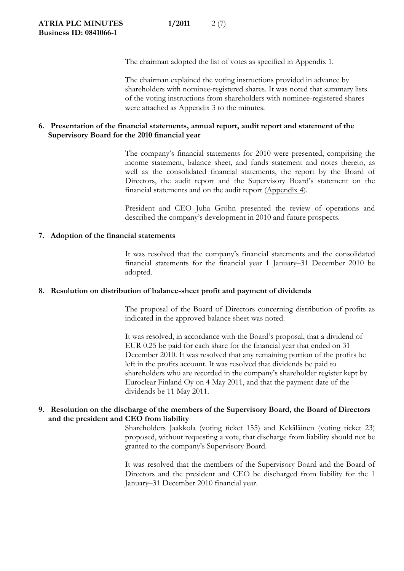The chairman adopted the list of votes as specified in Appendix 1.

The chairman explained the voting instructions provided in advance by shareholders with nominee-registered shares. It was noted that summary lists of the voting instructions from shareholders with nominee-registered shares were attached as Appendix 3 to the minutes.

# **6. Presentation of the financial statements, annual report, audit report and statement of the Supervisory Board for the 2010 financial year**

The company's financial statements for 2010 were presented, comprising the income statement, balance sheet, and funds statement and notes thereto, as well as the consolidated financial statements, the report by the Board of Directors, the audit report and the Supervisory Board's statement on the financial statements and on the audit report (Appendix 4).

President and CEO Juha Gröhn presented the review of operations and described the company's development in 2010 and future prospects.

#### **7. Adoption of the financial statements**

It was resolved that the company's financial statements and the consolidated financial statements for the financial year 1 January–31 December 2010 be adopted.

#### **8. Resolution on distribution of balance-sheet profit and payment of dividends**

The proposal of the Board of Directors concerning distribution of profits as indicated in the approved balance sheet was noted.

It was resolved, in accordance with the Board's proposal, that a dividend of EUR 0.25 be paid for each share for the financial year that ended on 31 December 2010. It was resolved that any remaining portion of the profits be left in the profits account. It was resolved that dividends be paid to shareholders who are recorded in the company's shareholder register kept by Euroclear Finland Oy on 4 May 2011, and that the payment date of the dividends be 11 May 2011.

## **9. Resolution on the discharge of the members of the Supervisory Board, the Board of Directors and the president and CEO from liability**

Shareholders Jaakkola (voting ticket 155) and Kekäläinen (voting ticket 23) proposed, without requesting a vote, that discharge from liability should not be granted to the company's Supervisory Board.

It was resolved that the members of the Supervisory Board and the Board of Directors and the president and CEO be discharged from liability for the 1 January–31 December 2010 financial year.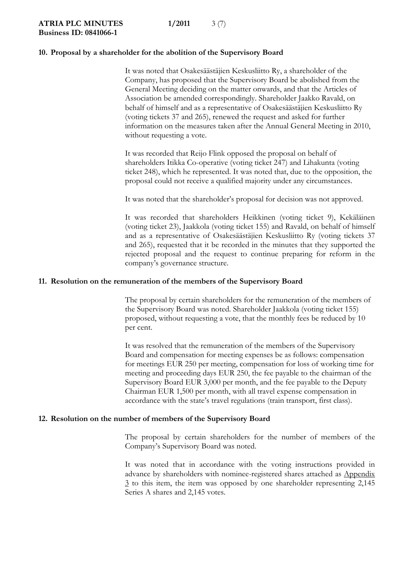**Business ID: 0841066-1** 

## **10. Proposal by a shareholder for the abolition of the Supervisory Board**

It was noted that Osakesäästäjien Keskusliitto Ry, a shareholder of the Company, has proposed that the Supervisory Board be abolished from the General Meeting deciding on the matter onwards, and that the Articles of Association be amended correspondingly. Shareholder Jaakko Ravald, on behalf of himself and as a representative of Osakesäästäjien Keskusliitto Ry (voting tickets 37 and 265), renewed the request and asked for further information on the measures taken after the Annual General Meeting in 2010, without requesting a vote.

It was recorded that Reijo Flink opposed the proposal on behalf of shareholders Itikka Co-operative (voting ticket 247) and Lihakunta (voting ticket 248), which he represented. It was noted that, due to the opposition, the proposal could not receive a qualified majority under any circumstances.

It was noted that the shareholder's proposal for decision was not approved.

It was recorded that shareholders Heikkinen (voting ticket 9), Kekäläinen (voting ticket 23), Jaakkola (voting ticket 155) and Ravald, on behalf of himself and as a representative of Osakesäästäjien Keskusliitto Ry (voting tickets 37 and 265), requested that it be recorded in the minutes that they supported the rejected proposal and the request to continue preparing for reform in the company's governance structure.

#### **11. Resolution on the remuneration of the members of the Supervisory Board**

The proposal by certain shareholders for the remuneration of the members of the Supervisory Board was noted. Shareholder Jaakkola (voting ticket 155) proposed, without requesting a vote, that the monthly fees be reduced by 10 per cent.

It was resolved that the remuneration of the members of the Supervisory Board and compensation for meeting expenses be as follows: compensation for meetings EUR 250 per meeting, compensation for loss of working time for meeting and proceeding days EUR 250, the fee payable to the chairman of the Supervisory Board EUR 3,000 per month, and the fee payable to the Deputy Chairman EUR 1,500 per month, with all travel expense compensation in accordance with the state's travel regulations (train transport, first class).

#### **12. Resolution on the number of members of the Supervisory Board**

The proposal by certain shareholders for the number of members of the Company's Supervisory Board was noted.

It was noted that in accordance with the voting instructions provided in advance by shareholders with nominee-registered shares attached as Appendix  $\frac{3}{2}$  to this item, the item was opposed by one shareholder representing 2,145 Series A shares and 2,145 votes.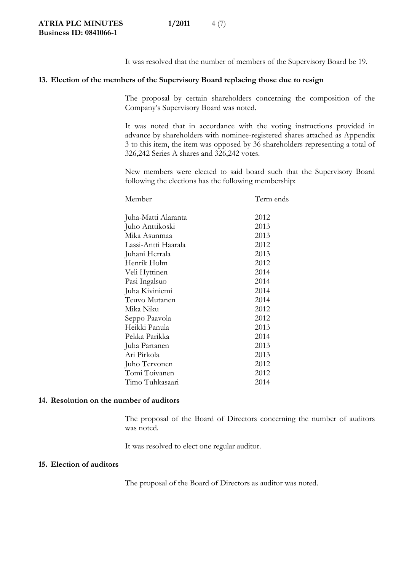It was resolved that the number of members of the Supervisory Board be 19.

# **13. Election of the members of the Supervisory Board replacing those due to resign**

The proposal by certain shareholders concerning the composition of the Company's Supervisory Board was noted.

It was noted that in accordance with the voting instructions provided in advance by shareholders with nominee-registered shares attached as Appendix 3 to this item, the item was opposed by 36 shareholders representing a total of 326,242 Series A shares and 326,242 votes.

New members were elected to said board such that the Supervisory Board following the elections has the following membership:

| Member              | Term ends |
|---------------------|-----------|
| Juha-Matti Alaranta | 2012      |
| Juho Anttikoski     | 2013      |
| Mika Asunmaa        | 2013      |
| Lassi-Antti Haarala | 2012      |
| Juhani Herrala      | 2013      |
| Henrik Holm         | 2012      |
| Veli Hyttinen       | 2014      |
| Pasi Ingalsuo       | 2014      |
| Juha Kiviniemi      | 2014      |
| Teuvo Mutanen       | 2014      |
| Mika Niku           | 2012      |
| Seppo Paavola       | 2012      |
| Heikki Panula       | 2013      |
| Pekka Parikka       | 2014      |
| Juha Partanen       | 2013      |
| Ari Pirkola         | 2013      |
| Juho Tervonen       | 2012      |
| Tomi Toivanen       | 2012      |
| Timo Tuhkasaari     | 2014      |
|                     |           |

### **14. Resolution on the number of auditors**

The proposal of the Board of Directors concerning the number of auditors was noted.

It was resolved to elect one regular auditor.

#### **15. Election of auditors**

The proposal of the Board of Directors as auditor was noted.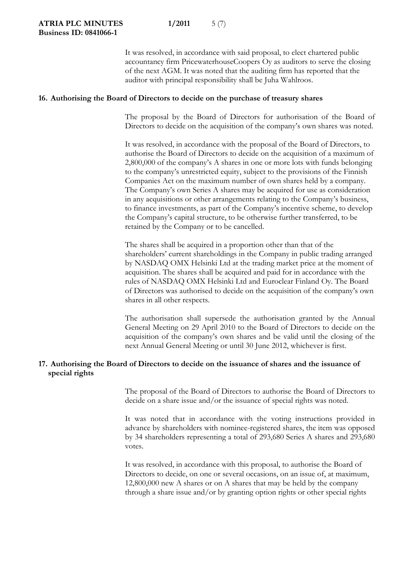It was resolved, in accordance with said proposal, to elect chartered public accountancy firm PricewaterhouseCoopers Oy as auditors to serve the closing of the next AGM. It was noted that the auditing firm has reported that the auditor with principal responsibility shall be Juha Wahlroos.

### **16. Authorising the Board of Directors to decide on the purchase of treasury shares**

The proposal by the Board of Directors for authorisation of the Board of Directors to decide on the acquisition of the company's own shares was noted.

It was resolved, in accordance with the proposal of the Board of Directors, to authorise the Board of Directors to decide on the acquisition of a maximum of 2,800,000 of the company's A shares in one or more lots with funds belonging to the company's unrestricted equity, subject to the provisions of the Finnish Companies Act on the maximum number of own shares held by a company. The Company's own Series A shares may be acquired for use as consideration in any acquisitions or other arrangements relating to the Company's business, to finance investments, as part of the Company's incentive scheme, to develop the Company's capital structure, to be otherwise further transferred, to be retained by the Company or to be cancelled.

The shares shall be acquired in a proportion other than that of the shareholders' current shareholdings in the Company in public trading arranged by NASDAQ OMX Helsinki Ltd at the trading market price at the moment of acquisition. The shares shall be acquired and paid for in accordance with the rules of NASDAQ OMX Helsinki Ltd and Euroclear Finland Oy. The Board of Directors was authorised to decide on the acquisition of the company's own shares in all other respects.

The authorisation shall supersede the authorisation granted by the Annual General Meeting on 29 April 2010 to the Board of Directors to decide on the acquisition of the company's own shares and be valid until the closing of the next Annual General Meeting or until 30 June 2012, whichever is first.

## **17. Authorising the Board of Directors to decide on the issuance of shares and the issuance of special rights**

The proposal of the Board of Directors to authorise the Board of Directors to decide on a share issue and/or the issuance of special rights was noted.

It was noted that in accordance with the voting instructions provided in advance by shareholders with nominee-registered shares, the item was opposed by 34 shareholders representing a total of 293,680 Series A shares and 293,680 votes.

It was resolved, in accordance with this proposal, to authorise the Board of Directors to decide, on one or several occasions, on an issue of, at maximum, 12,800,000 new A shares or on A shares that may be held by the company through a share issue and/or by granting option rights or other special rights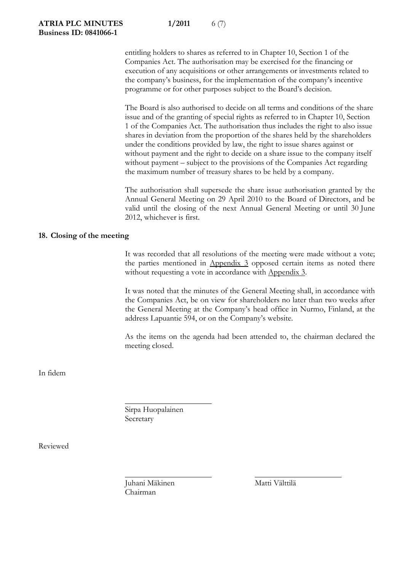entitling holders to shares as referred to in Chapter 10, Section 1 of the Companies Act. The authorisation may be exercised for the financing or execution of any acquisitions or other arrangements or investments related to the company's business, for the implementation of the company's incentive programme or for other purposes subject to the Board's decision.

The Board is also authorised to decide on all terms and conditions of the share issue and of the granting of special rights as referred to in Chapter 10, Section 1 of the Companies Act. The authorisation thus includes the right to also issue shares in deviation from the proportion of the shares held by the shareholders under the conditions provided by law, the right to issue shares against or without payment and the right to decide on a share issue to the company itself without payment – subject to the provisions of the Companies Act regarding the maximum number of treasury shares to be held by a company.

The authorisation shall supersede the share issue authorisation granted by the Annual General Meeting on 29 April 2010 to the Board of Directors, and be valid until the closing of the next Annual General Meeting or until 30 June 2012, whichever is first.

## **18. Closing of the meeting**

It was recorded that all resolutions of the meeting were made without a vote; the parties mentioned in Appendix 3 opposed certain items as noted there without requesting a vote in accordance with Appendix 3.

It was noted that the minutes of the General Meeting shall, in accordance with the Companies Act, be on view for shareholders no later than two weeks after the General Meeting at the Company's head office in Nurmo, Finland, at the address Lapuantie 594, or on the Company's website.

As the items on the agenda had been attended to, the chairman declared the meeting closed.

In fidem

Sirpa Huopalainen Secretary

l

l

Reviewed

Juhani Mäkinen Matti Välttilä Chairman